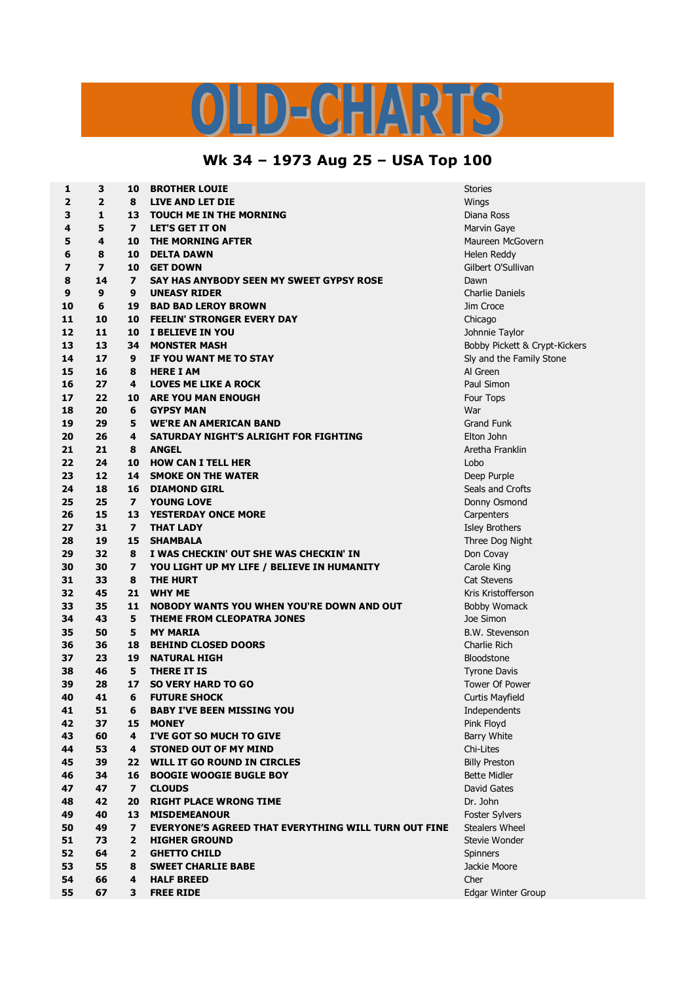

## **Wk 34 – 1973 Aug 25 – USA Top 100**

| $\mathbf 1$             | 3                       | 10                       | <b>BROTHER LOUIE</b>                                        | <b>Stories</b>         |
|-------------------------|-------------------------|--------------------------|-------------------------------------------------------------|------------------------|
| $\overline{\mathbf{2}}$ | $\overline{2}$          | 8                        | LIVE AND LET DIE                                            | Wings                  |
| 3                       | $\mathbf{1}$            | 13                       | <b>TOUCH ME IN THE MORNING</b>                              | Diana Ross             |
| 4                       | 5                       | $\overline{\mathbf{z}}$  | <b>LET'S GET IT ON</b>                                      | Marvin Gaye            |
| 5                       | 4                       | 10                       | THE MORNING AFTER                                           | Maureen McGov          |
| 6                       | 8                       | 10                       | <b>DELTA DAWN</b>                                           | Helen Reddy            |
| $\overline{z}$          | $\overline{\mathbf{z}}$ | 10                       | <b>GET DOWN</b>                                             | Gilbert O'Sulliva      |
| 8                       | 14                      | $\overline{\phantom{a}}$ | SAY HAS ANYBODY SEEN MY SWEET GYPSY ROSE                    | Dawn                   |
| 9                       | 9                       | 9                        | <b>UNEASY RIDER</b>                                         | <b>Charlie Daniels</b> |
| 10                      | 6                       | 19                       | <b>BAD BAD LEROY BROWN</b>                                  | Jim Croce              |
| 11                      | 10                      | 10                       | <b>FEELIN' STRONGER EVERY DAY</b>                           | Chicago                |
| 12                      | 11                      | 10                       | <b>I BELIEVE IN YOU</b>                                     | Johnnie Taylor         |
| 13                      | 13                      | 34                       | <b>MONSTER MASH</b>                                         | Bobby Pickett &        |
| 14                      | 17                      | 9                        | IF YOU WANT ME TO STAY                                      | Sly and the Fam        |
| 15                      | 16                      | 8                        | <b>HERE I AM</b>                                            | Al Green               |
| 16                      | 27                      | 4                        | <b>LOVES ME LIKE A ROCK</b>                                 | Paul Simon             |
| 17                      | 22                      | 10                       | <b>ARE YOU MAN ENOUGH</b>                                   | Four Tops              |
| 18                      | 20                      | 6                        | <b>GYPSY MAN</b>                                            | War                    |
| 19                      | 29                      | 5                        | <b>WE'RE AN AMERICAN BAND</b>                               | <b>Grand Funk</b>      |
| 20                      | 26                      | 4                        | SATURDAY NIGHT'S ALRIGHT FOR FIGHTING                       | Elton John             |
| 21                      | 21                      | 8                        | <b>ANGEL</b>                                                | Aretha Franklin        |
| 22                      | 24                      | 10                       | <b>HOW CAN I TELL HER</b>                                   | Lobo                   |
| 23                      | 12                      | 14                       | <b>SMOKE ON THE WATER</b>                                   | Deep Purple            |
| 24                      | 18                      | 16                       | <b>DIAMOND GIRL</b>                                         | Seals and Crofts       |
| 25                      | 25                      | $\overline{ }$           | <b>YOUNG LOVE</b>                                           | Donny Osmond           |
| 26                      | 15                      | 13                       | <b>YESTERDAY ONCE MORE</b>                                  | Carpenters             |
| 27                      | 31                      | $\overline{\mathbf{z}}$  | <b>THAT LADY</b>                                            | <b>Isley Brothers</b>  |
| 28                      | 19                      | 15                       | <b>SHAMBALA</b>                                             | Three Dog Nigh         |
| 29                      | 32                      | 8                        | I WAS CHECKIN' OUT SHE WAS CHECKIN' IN                      | Don Covay              |
| 30                      | 30                      | $\overline{\mathbf{z}}$  | YOU LIGHT UP MY LIFE / BELIEVE IN HUMANITY                  | Carole King            |
| 31                      | 33                      | 8                        | <b>THE HURT</b>                                             | <b>Cat Stevens</b>     |
| 32                      | 45                      | 21                       | <b>WHY ME</b>                                               | Kris Kristofferso      |
| 33                      | 35                      | 11                       | <b>NOBODY WANTS YOU WHEN YOU'RE DOWN AND OUT</b>            | <b>Bobby Womack</b>    |
| 34                      | 43                      | 5                        | <b>THEME FROM CLEOPATRA JONES</b>                           | Joe Simon              |
| 35                      | 50                      | 5                        | <b>MY MARIA</b>                                             | <b>B.W. Stevenson</b>  |
| 36                      | 36                      | 18                       | <b>BEHIND CLOSED DOORS</b>                                  | Charlie Rich           |
| 37                      | 23                      | 19                       | <b>NATURAL HIGH</b>                                         | Bloodstone             |
| 38                      | 46                      | 5                        | <b>THERE IT IS</b>                                          | <b>Tyrone Davis</b>    |
| 39                      | 28                      | 17                       | <b>SO VERY HARD TO GO</b>                                   | Tower Of Power         |
| 40                      | 41                      | 6                        | <b>FUTURE SHOCK</b>                                         | <b>Curtis Mayfield</b> |
| 41                      | 51                      | 6                        | <b>BABY I'VE BEEN MISSING YOU</b>                           | Independents           |
| 42                      | 37                      | 15                       | <b>MONEY</b>                                                | Pink Floyd             |
| 43                      | 60                      | 4                        | I'VE GOT SO MUCH TO GIVE                                    | <b>Barry White</b>     |
| 44                      | 53                      | 4                        | <b>STONED OUT OF MY MIND</b>                                | Chi-Lites              |
| 45                      | 39                      | 22                       | WILL IT GO ROUND IN CIRCLES                                 | <b>Billy Preston</b>   |
| 46                      | 34                      | 16                       | <b>BOOGIE WOOGIE BUGLE BOY</b>                              | <b>Bette Midler</b>    |
| 47                      | 47                      | $\overline{ }$           | <b>CLOUDS</b>                                               | David Gates            |
| 48                      | 42                      | 20                       | <b>RIGHT PLACE WRONG TIME</b>                               | Dr. John               |
| 49                      | 40                      | 13                       | <b>MISDEMEANOUR</b>                                         | Foster Sylvers         |
| 50                      | 49                      | $\overline{\mathbf{z}}$  | <b>EVERYONE'S AGREED THAT EVERYTHING WILL TURN OUT FINE</b> | <b>Stealers Wheel</b>  |
| 51                      | 73                      | $\overline{2}$           | <b>HIGHER GROUND</b>                                        | Stevie Wonder          |
| 52                      | 64                      | $\overline{2}$           | <b>GHETTO CHILD</b>                                         | Spinners               |
| 53                      | 55                      | 8                        | <b>SWEET CHARLIE BABE</b>                                   | Jackie Moore           |
| 54                      | 66                      | 4                        | <b>HALF BREED</b>                                           | Cher                   |
| 55                      | 67                      | 3                        | <b>FREE RIDE</b>                                            | Edgar Winter Gr        |

 **4 10 THE MORNING AFTER** Maureen McGovern **7 10 GET DOWN** Gilbert O'Sullivan **13 34 MONSTER MASH** Bobby Pickett & Crypt-Kickers and the Family Stone and Crofts  $2e$  **Dog Night 45 21 WHY ME** Kris Kristofferson **50 5 MY MARIA** B.W. Stevenson **67 3 FREE RIDE** Edgar Winter Group